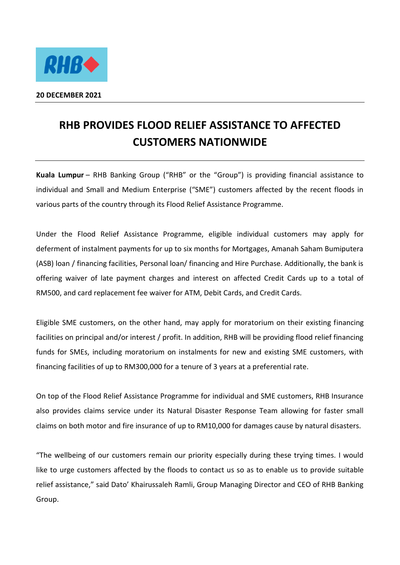

## **RHB PROVIDES FLOOD RELIEF ASSISTANCE TO AFFECTED CUSTOMERS NATIONWIDE**

**Kuala Lumpur** – RHB Banking Group ("RHB" or the "Group") is providing financial assistance to individual and Small and Medium Enterprise ("SME") customers affected by the recent floods in various parts of the country through its Flood Relief Assistance Programme.

Under the Flood Relief Assistance Programme, eligible individual customers may apply for deferment of instalment payments for up to six months for Mortgages, Amanah Saham Bumiputera (ASB) loan / financing facilities, Personal loan/ financing and Hire Purchase. Additionally, the bank is offering waiver of late payment charges and interest on affected Credit Cards up to a total of RM500, and card replacement fee waiver for ATM, Debit Cards, and Credit Cards.

Eligible SME customers, on the other hand, may apply for moratorium on their existing financing facilities on principal and/or interest / profit. In addition, RHB will be providing flood relief financing funds for SMEs, including moratorium on instalments for new and existing SME customers, with financing facilities of up to RM300,000 for a tenure of 3 years at a preferential rate.

On top of the Flood Relief Assistance Programme for individual and SME customers, RHB Insurance also provides claims service under its Natural Disaster Response Team allowing for faster small claims on both motor and fire insurance of up to RM10,000 for damages cause by natural disasters.

"The wellbeing of our customers remain our priority especially during these trying times. I would like to urge customers affected by the floods to contact us so as to enable us to provide suitable relief assistance," said Dato' Khairussaleh Ramli, Group Managing Director and CEO of RHB Banking Group.